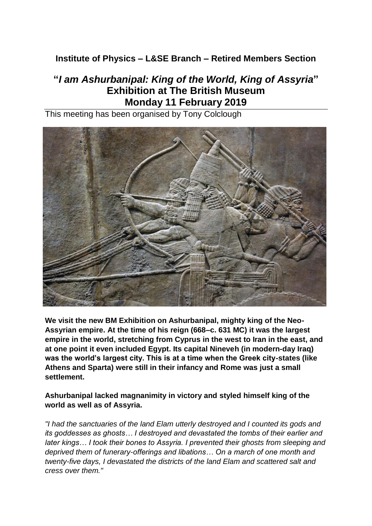### **Institute of Physics – L&SE Branch – Retired Members Section**

# **"***I am Ashurbanipal: King of the World, King of Assyria***" Exhibition at The British Museum Monday 11 February 2019**

This meeting has been organised by Tony Colclough



**We visit the new BM Exhibition on Ashurbanipal, mighty king of the Neo-Assyrian empire. At the time of his reign (668–c. 631 MC) it was the largest empire in the world, stretching from Cyprus in the west to Iran in the east, and at one point it even included Egypt. Its capital Nineveh (in modern-day Iraq) was the world's largest city. This is at a time when the Greek city-states (like Athens and Sparta) were still in their infancy and Rome was just a small settlement.**

**Ashurbanipal lacked magnanimity in victory and styled himself king of the world as well as of Assyria.**

*"I had the sanctuaries of the land Elam utterly destroyed and I counted its gods and its goddesses as ghosts… I destroyed and devastated the tombs of their earlier and later kings… I took their bones to Assyria. I prevented their ghosts from sleeping and deprived them of funerary-offerings and libations… On a march of one month and twenty-five days, I devastated the districts of the land Elam and scattered salt and cress over them."*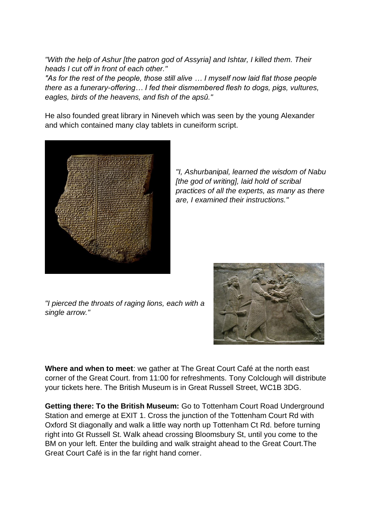*"With the help of Ashur [the patron god of Assyria] and Ishtar, I killed them. Their heads I cut off in front of each other."*

*"As for the rest of the people, those still alive … I myself now laid flat those people there as a funerary-offering… I fed their dismembered flesh to dogs, pigs, vultures, eagles, birds of the heavens, and fish of the apsû."*

He also founded great library in Nineveh which was seen by the young Alexander and which contained many clay tablets in cuneiform script.



*"I, Ashurbanipal, learned the wisdom of Nabu [the god of writing], laid hold of scribal practices of all the experts, as many as there are, I examined their instructions."*

*"I pierced the throats of raging lions, each with a single arrow."*



**Where and when to meet**: we gather at The Great Court Café at the north east corner of the Great Court. from 11:00 for refreshments. Tony Colclough will distribute your tickets here. The British Museum is in Great Russell Street, WC1B 3DG.

**Getting there: To the British Museum:** Go to Tottenham Court Road Underground Station and emerge at EXIT 1. Cross the junction of the Tottenham Court Rd with Oxford St diagonally and walk a little way north up Tottenham Ct Rd. before turning right into Gt Russell St. Walk ahead crossing Bloomsbury St, until you come to the BM on your left. Enter the building and walk straight ahead to the Great Court.The Great Court Café is in the far right hand corner.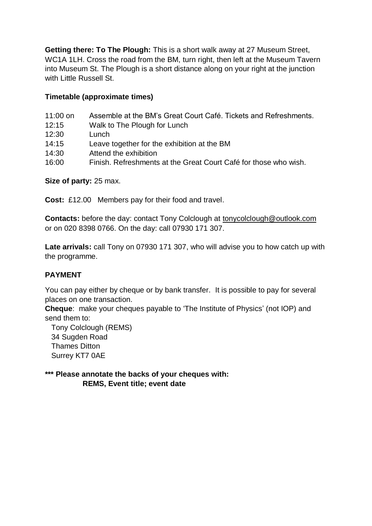**Getting there: To The Plough:** This is a short walk away at 27 Museum Street, WC1A 1LH. Cross the road from the BM, turn right, then left at the Museum Tavern into Museum St. The Plough is a short distance along on your right at the junction with Little Russell St.

#### **Timetable (approximate times)**

| 11:00 on | Assemble at the BM's Great Court Café. Tickets and Refreshments. |
|----------|------------------------------------------------------------------|
| 12:15    | Walk to The Plough for Lunch                                     |
| 12:30    | Lunch                                                            |
| 14:15    | Leave together for the exhibition at the BM                      |
| 14:30    | Attend the exhibition                                            |
| 16:00    | Finish. Refreshments at the Great Court Café for those who wish. |

**Size of party:** 25 max.

**Cost:** £12.00 Members pay for their food and travel.

**Contacts:** before the day: contact Tony Colclough at [tonycolclough@outlook.com](mailto:tonycolclough@outlook.com) or on 020 8398 0766. On the day: call 07930 171 307.

**Late arrivals:** call Tony on 07930 171 307, who will advise you to how catch up with the programme.

#### **PAYMENT**

You can pay either by cheque or by bank transfer. It is possible to pay for several places on one transaction.

**Cheque**: make your cheques payable to 'The Institute of Physics' (not IOP) and send them to:

 Tony Colclough (REMS) 34 Sugden Road Thames Ditton Surrey KT7 0AE

**\*\*\* Please annotate the backs of your cheques with: REMS, Event title; event date**